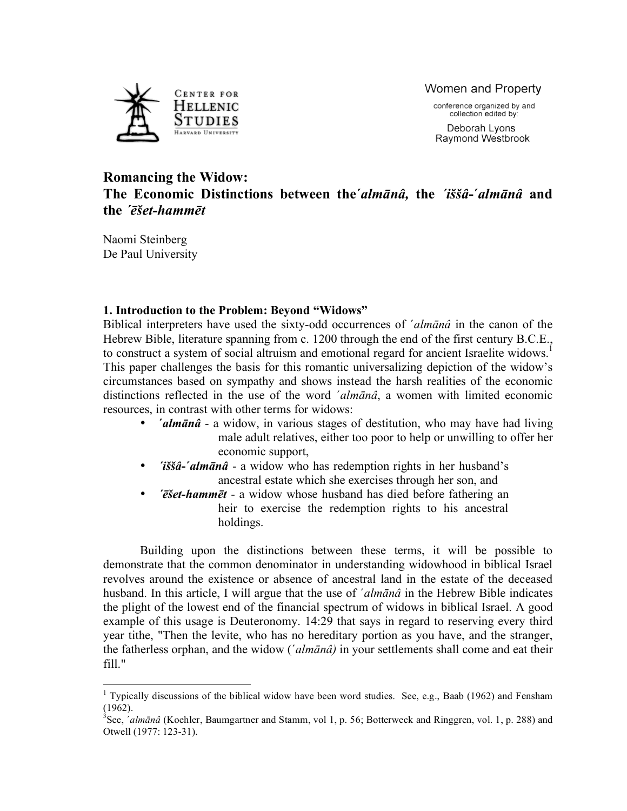

Women and Property

conference organized by and collection edited by:

Deborah Lyons Raymond Westbrook

# **Romancing the Widow: The Economic Distinctions between the´***almānâ,* **the** *´iššâ***-´***almānâ* **and the** *´ēšet-hammēt*

Naomi Steinberg De Paul University

# **1. Introduction to the Problem: Beyond "Widows"**

Biblical interpreters have used the sixty-odd occurrences of ´*almānâ* in the canon of the Hebrew Bible, literature spanning from c. 1200 through the end of the first century B.C.E., to construct a system of social altruism and emotional regard for ancient Israelite widows.<sup>1</sup> This paper challenges the basis for this romantic universalizing depiction of the widow's circumstances based on sympathy and shows instead the harsh realities of the economic distinctions reflected in the use of the word ´*almānâ*, a women with limited economic resources, in contrast with other terms for widows:

- **´***almānâ* a widow, in various stages of destitution, who may have had living male adult relatives, either too poor to help or unwilling to offer her economic support,
- *´iššâ***-´***almānâ* a widow who has redemption rights in her husband's ancestral estate which she exercises through her son, and
- *´ēšet-hammēt* a widow whose husband has died before fathering an heir to exercise the redemption rights to his ancestral holdings.

Building upon the distinctions between these terms, it will be possible to demonstrate that the common denominator in understanding widowhood in biblical Israel revolves around the existence or absence of ancestral land in the estate of the deceased husband. In this article, I will argue that the use of ´*almānâ* in the Hebrew Bible indicates the plight of the lowest end of the financial spectrum of widows in biblical Israel. A good example of this usage is Deuteronomy. 14:29 that says in regard to reserving every third year tithe, "Then the levite, who has no hereditary portion as you have, and the stranger, the fatherless orphan, and the widow (´*almānâ)* in your settlements shall come and eat their fill."

<sup>&</sup>lt;sup>1</sup> Typically discussions of the biblical widow have been word studies. See, e.g., Baab (1962) and Fensham  $(1962)$ .

See, ´*almānâ* (Koehler, Baumgartner and Stamm, vol 1, p. 56; Botterweck and Ringgren, vol. 1, p. 288) and Otwell (1977: 123-31).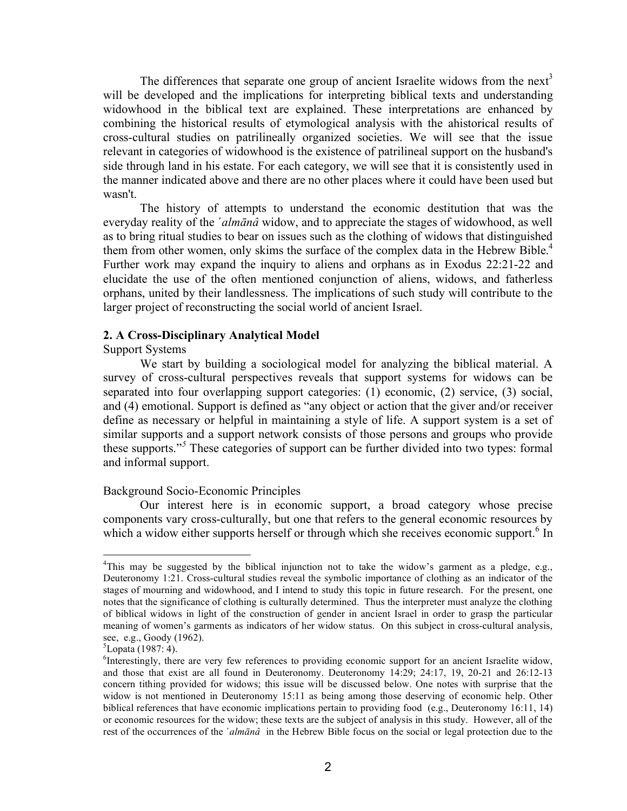The differences that separate one group of ancient Israelite widows from the next<sup>3</sup> will be developed and the implications for interpreting biblical texts and understanding widowhood in the biblical text are explained. These interpretations are enhanced by combining the historical results of etymological analysis with the ahistorical results of cross-cultural studies on patrilineally organized societies. We will see that the issue relevant in categories of widowhood is the existence of patrilineal support on the husband's side through land in his estate. For each category, we will see that it is consistently used in the manner indicated above and there are no other places where it could have been used but wasn't.

The history of attempts to understand the economic destitution that was the everyday reality of the ´*almānâ* widow, and to appreciate the stages of widowhood, as well as to bring ritual studies to bear on issues such as the clothing of widows that distinguished them from other women, only skims the surface of the complex data in the Hebrew Bible.<sup>4</sup> Further work may expand the inquiry to aliens and orphans as in Exodus 22:21-22 and elucidate the use of the often mentioned conjunction of aliens, widows, and fatherless orphans, united by their landlessness. The implications of such study will contribute to the larger project of reconstructing the social world of ancient Israel.

# **2. A Cross-Disciplinary Analytical Model**

Support Systems

We start by building a sociological model for analyzing the biblical material. A survey of cross-cultural perspectives reveals that support systems for widows can be separated into four overlapping support categories: (1) economic, (2) service, (3) social, and (4) emotional. Support is defined as "any object or action that the giver and/or receiver define as necessary or helpful in maintaining a style of life. A support system is a set of similar supports and a support network consists of those persons and groups who provide these supports."*<sup>5</sup>* These categories of support can be further divided into two types: formal and informal support.

# Background Socio-Economic Principles

Our interest here is in economic support, a broad category whose precise components vary cross-culturally, but one that refers to the general economic resources by which a widow either supports herself or through which she receives economic support.<sup>6</sup> In

 $\frac{1}{4}$ <sup>4</sup>This may be suggested by the biblical injunction not to take the widow's garment as a pledge, e.g., Deuteronomy 1:21. Cross-cultural studies reveal the symbolic importance of clothing as an indicator of the stages of mourning and widowhood, and I intend to study this topic in future research. For the present, one notes that the significance of clothing is culturally determined. Thus the interpreter must analyze the clothing of biblical widows in light of the construction of gender in ancient Israel in order to grasp the particular meaning of women's garments as indicators of her widow status. On this subject in cross-cultural analysis, see, e.g., Goody (1962).

 ${}^{5}$ Lopata (1987: 4).

<sup>&</sup>lt;sup>6</sup>Interestingly, there are very few references to providing economic support for an ancient Israelite widow, and those that exist are all found in Deuteronomy. Deuteronomy 14:29; 24:17, 19, 20-21 and 26:12-13 concern tithing provided for widows; this issue will be discussed below. One notes with surprise that the widow is not mentioned in Deuteronomy 15:11 as being among those deserving of economic help. Other biblical references that have economic implications pertain to providing food (e.g., Deuteronomy 16:11, 14) or economic resources for the widow; these texts are the subject of analysis in this study. However, all of the rest of the occurrences of the ´*almānâ* in the Hebrew Bible focus on the social or legal protection due to the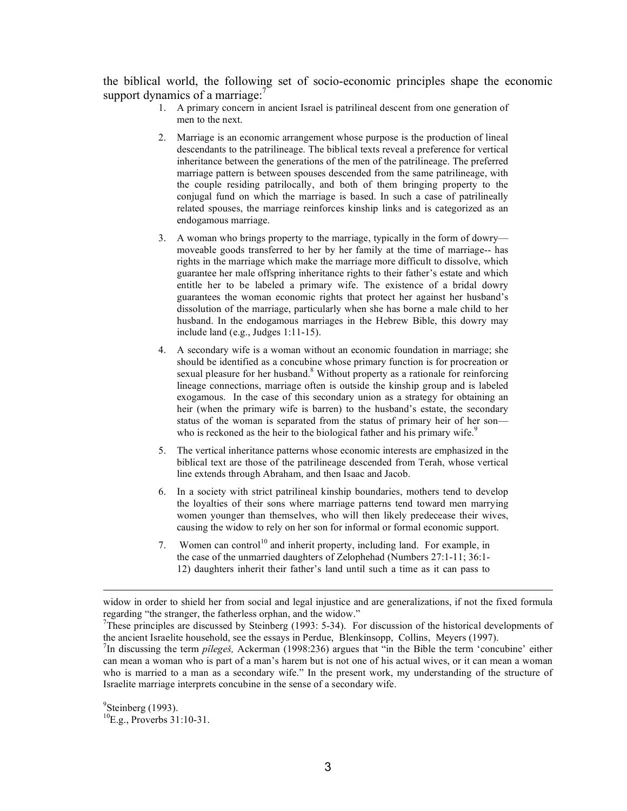the biblical world, the following set of socio-economic principles shape the economic support dynamics of a marriage:<sup>7</sup>

- 1. A primary concern in ancient Israel is patrilineal descent from one generation of men to the next.
- 2. Marriage is an economic arrangement whose purpose is the production of lineal descendants to the patrilineage. The biblical texts reveal a preference for vertical inheritance between the generations of the men of the patrilineage. The preferred marriage pattern is between spouses descended from the same patrilineage, with the couple residing patrilocally, and both of them bringing property to the conjugal fund on which the marriage is based. In such a case of patrilineally related spouses, the marriage reinforces kinship links and is categorized as an endogamous marriage.
- 3. A woman who brings property to the marriage, typically in the form of dowry moveable goods transferred to her by her family at the time of marriage-- has rights in the marriage which make the marriage more difficult to dissolve, which guarantee her male offspring inheritance rights to their father's estate and which entitle her to be labeled a primary wife. The existence of a bridal dowry guarantees the woman economic rights that protect her against her husband's dissolution of the marriage, particularly when she has borne a male child to her husband. In the endogamous marriages in the Hebrew Bible, this dowry may include land (e.g., Judges 1:11-15).
- 4. A secondary wife is a woman without an economic foundation in marriage; she should be identified as a concubine whose primary function is for procreation or sexual pleasure for her husband.<sup>8</sup> Without property as a rationale for reinforcing lineage connections, marriage often is outside the kinship group and is labeled exogamous. In the case of this secondary union as a strategy for obtaining an heir (when the primary wife is barren) to the husband's estate, the secondary status of the woman is separated from the status of primary heir of her son who is reckoned as the heir to the biological father and his primary wife.<sup>9</sup>
- 5. The vertical inheritance patterns whose economic interests are emphasized in the biblical text are those of the patrilineage descended from Terah, whose vertical line extends through Abraham, and then Isaac and Jacob.
- 6. In a society with strict patrilineal kinship boundaries, mothers tend to develop the loyalties of their sons where marriage patterns tend toward men marrying women younger than themselves, who will then likely predecease their wives, causing the widow to rely on her son for informal or formal economic support.
- 7. Women can control<sup>10</sup> and inherit property, including land. For example, in the case of the unmarried daughters of Zelophehad (Numbers 27:1-11; 36:1- 12) daughters inherit their father's land until such a time as it can pass to

<sup>9</sup>Steinberg (1993).<br><sup>10</sup>E  $\alpha$  - Proverbs 31  ${}^{10}E.g.,$  Proverbs 31:10-31.

 $\overline{a}$ 

widow in order to shield her from social and legal injustice and are generalizations, if not the fixed formula regarding "the stranger, the fatherless orphan, and the widow."

These principles are discussed by Steinberg (1993: 5-34). For discussion of the historical developments of the ancient Israelite household, see the essays in Perdue, Blenkinsopp, Collins, Meyers (1997).

In discussing the term *pîlegeš,* Ackerman (1998:236) argues that "in the Bible the term 'concubine' either can mean a woman who is part of a man's harem but is not one of his actual wives, or it can mean a woman who is married to a man as a secondary wife." In the present work, my understanding of the structure of Israelite marriage interprets concubine in the sense of a secondary wife.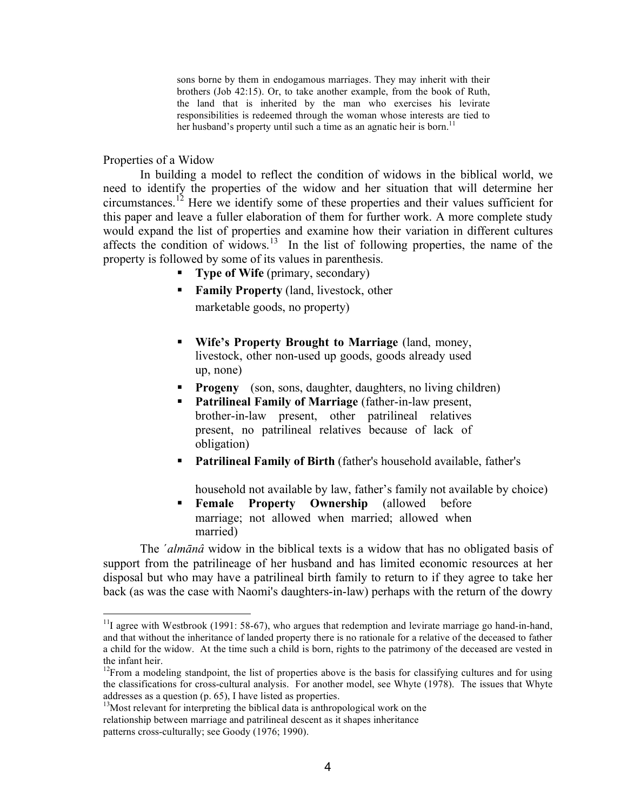sons borne by them in endogamous marriages. They may inherit with their brothers (Job 42:15). Or, to take another example, from the book of Ruth, the land that is inherited by the man who exercises his levirate responsibilities is redeemed through the woman whose interests are tied to her husband's property until such a time as an agnatic heir is born.<sup>11</sup>

## Properties of a Widow

In building a model to reflect the condition of widows in the biblical world, we need to identify the properties of the widow and her situation that will determine her circumstances. <sup>12</sup> Here we identify some of these properties and their values sufficient for this paper and leave a fuller elaboration of them for further work. A more complete study would expand the list of properties and examine how their variation in different cultures affects the condition of widows.<sup>13</sup> In the list of following properties, the name of the property is followed by some of its values in parenthesis.

- **Type of Wife** (primary, secondary)
- **Family Property** (land, livestock, other marketable goods, no property)
- **Wife's Property Brought to Marriage** (land, money, livestock, other non-used up goods, goods already used up, none)
- **Progeny** (son, sons, daughter, daughters, no living children)
- **Patrilineal Family of Marriage** (father-in-law present, brother-in-law present, other patrilineal relatives present, no patrilineal relatives because of lack of obligation)
- **Patrilineal Family of Birth** (father's household available, father's

household not available by law, father's family not available by choice)

 **Female Property Ownership** (allowed before marriage; not allowed when married; allowed when married)

The ´*almānâ* widow in the biblical texts is a widow that has no obligated basis of support from the patrilineage of her husband and has limited economic resources at her disposal but who may have a patrilineal birth family to return to if they agree to take her back (as was the case with Naomi's daughters-in-law) perhaps with the return of the dowry

<sup>&</sup>lt;sup>11</sup>I agree with Westbrook (1991: 58-67), who argues that redemption and levirate marriage go hand-in-hand, and that without the inheritance of landed property there is no rationale for a relative of the deceased to father a child for the widow. At the time such a child is born, rights to the patrimony of the deceased are vested in the infant heir.

 $^{12}$ From a modeling standpoint, the list of properties above is the basis for classifying cultures and for using the classifications for cross-cultural analysis. For another model, see Whyte (1978). The issues that Whyte addresses as a question  $(p. 65)$ , I have listed as properties.

 $13$ Most relevant for interpreting the biblical data is anthropological work on the relationship between marriage and patrilineal descent as it shapes inheritance patterns cross-culturally; see Goody (1976; 1990).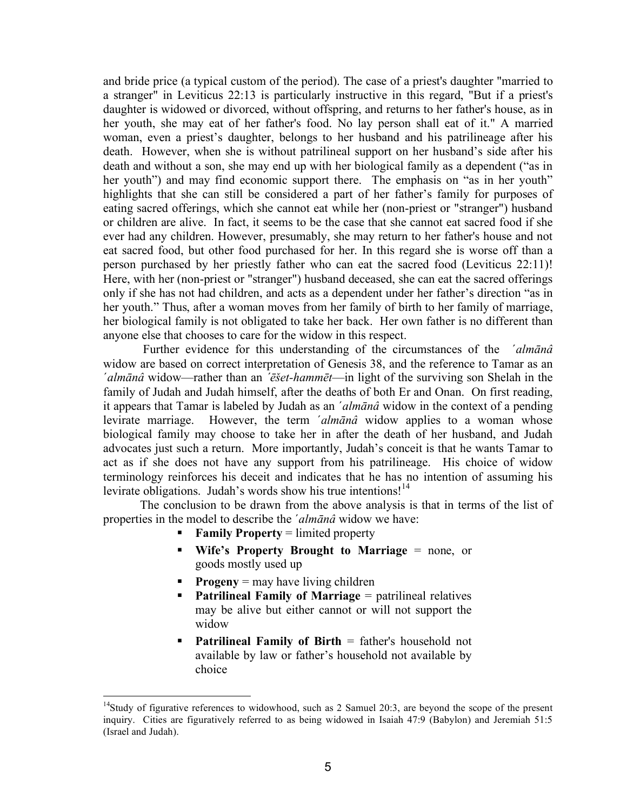and bride price (a typical custom of the period). The case of a priest's daughter "married to a stranger" in Leviticus 22:13 is particularly instructive in this regard, "But if a priest's daughter is widowed or divorced, without offspring, and returns to her father's house, as in her youth, she may eat of her father's food. No lay person shall eat of it." A married woman, even a priest's daughter, belongs to her husband and his patrilineage after his death. However, when she is without patrilineal support on her husband's side after his death and without a son, she may end up with her biological family as a dependent ("as in her youth") and may find economic support there. The emphasis on "as in her youth" highlights that she can still be considered a part of her father's family for purposes of eating sacred offerings, which she cannot eat while her (non-priest or "stranger") husband or children are alive. In fact, it seems to be the case that she cannot eat sacred food if she ever had any children. However, presumably, she may return to her father's house and not eat sacred food, but other food purchased for her. In this regard she is worse off than a person purchased by her priestly father who can eat the sacred food (Leviticus 22:11)! Here, with her (non-priest or "stranger") husband deceased, she can eat the sacred offerings only if she has not had children, and acts as a dependent under her father's direction "as in her youth." Thus, after a woman moves from her family of birth to her family of marriage, her biological family is not obligated to take her back. Her own father is no different than anyone else that chooses to care for the widow in this respect.

Further evidence for this understanding of the circumstances of the ´*almānâ*  widow are based on correct interpretation of Genesis 38, and the reference to Tamar as an ´*almānâ* widow—rather than an *´ēšet-hammēt*—in light of the surviving son Shelah in the family of Judah and Judah himself, after the deaths of both Er and Onan. On first reading, it appears that Tamar is labeled by Judah as an ´*almānâ* widow in the context of a pending levirate marriage. However, the term ´*almānâ* widow applies to a woman whose biological family may choose to take her in after the death of her husband, and Judah advocates just such a return. More importantly, Judah's conceit is that he wants Tamar to act as if she does not have any support from his patrilineage. His choice of widow terminology reinforces his deceit and indicates that he has no intention of assuming his levirate obligations. Judah's words show his true intentions!<sup>14</sup>

The conclusion to be drawn from the above analysis is that in terms of the list of properties in the model to describe the ´*almānâ* widow we have:

- **Family Property** = limited property
- **Wife's Property Brought to Marriage** = none, or goods mostly used up
- **Progeny** = may have living children
- **Patrilineal Family of Marriage** = patrilineal relatives may be alive but either cannot or will not support the widow
- **Patrilineal Family of Birth** = father's household not available by law or father's household not available by choice

<sup>&</sup>lt;sup>14</sup>Study of figurative references to widowhood, such as 2 Samuel 20:3, are beyond the scope of the present inquiry. Cities are figuratively referred to as being widowed in Isaiah 47:9 (Babylon) and Jeremiah 51:5 (Israel and Judah).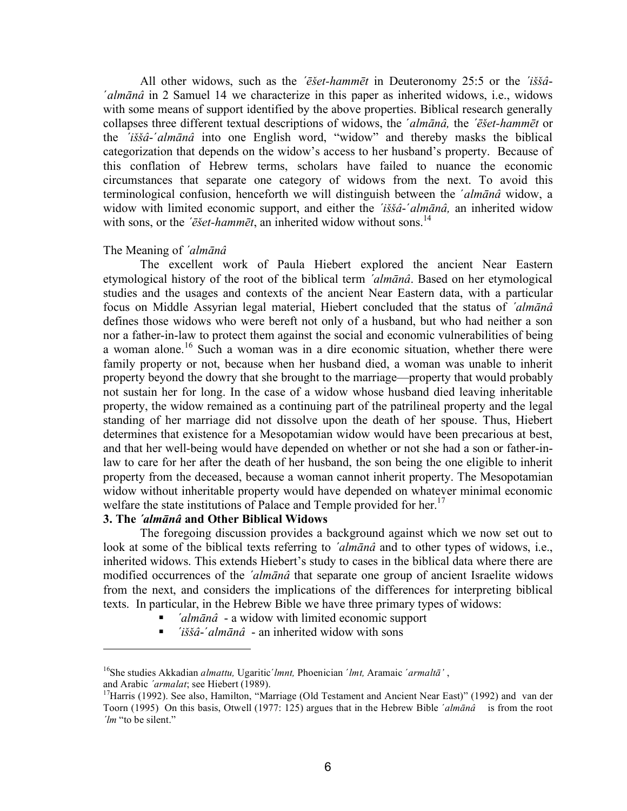All other widows, such as the *´ēšet-hammēt* in Deuteronomy 25:5 or the *´iššâ*- ´*almānâ* in 2 Samuel 14 we characterize in this paper as inherited widows, i.e., widows with some means of support identified by the above properties. Biblical research generally collapses three different textual descriptions of widows, the ´*almānâ,* the *´ēšet-hammēt* or the *´iššâ*-´*almānâ* into one English word, "widow" and thereby masks the biblical categorization that depends on the widow's access to her husband's property. Because of this conflation of Hebrew terms, scholars have failed to nuance the economic circumstances that separate one category of widows from the next. To avoid this terminological confusion, henceforth we will distinguish between the ´*almānâ* widow, a widow with limited economic support, and either the *´iššâ*-´*almānâ,* an inherited widow with sons, or the '*ēšet-hammēt*, an inherited widow without sons.<sup>14</sup>

### The Meaning of *´almānâ*

The excellent work of Paula Hiebert explored the ancient Near Eastern etymological history of the root of the biblical term *´almānâ*. Based on her etymological studies and the usages and contexts of the ancient Near Eastern data, with a particular focus on Middle Assyrian legal material, Hiebert concluded that the status of *´almānâ*  defines those widows who were bereft not only of a husband, but who had neither a son nor a father-in-law to protect them against the social and economic vulnerabilities of being a woman alone. <sup>16</sup> Such a woman was in a dire economic situation, whether there were family property or not, because when her husband died, a woman was unable to inherit property beyond the dowry that she brought to the marriage—property that would probably not sustain her for long. In the case of a widow whose husband died leaving inheritable property, the widow remained as a continuing part of the patrilineal property and the legal standing of her marriage did not dissolve upon the death of her spouse. Thus, Hiebert determines that existence for a Mesopotamian widow would have been precarious at best, and that her well-being would have depended on whether or not she had a son or father-inlaw to care for her after the death of her husband, the son being the one eligible to inherit property from the deceased, because a woman cannot inherit property. The Mesopotamian widow without inheritable property would have depended on whatever minimal economic welfare the state institutions of Palace and Temple provided for her.<sup>17</sup>

# **3. The** *´almānâ* **and Other Biblical Widows**

l

The foregoing discussion provides a background against which we now set out to look at some of the biblical texts referring to *´almānâ* and to other types of widows, i.e., inherited widows. This extends Hiebert's study to cases in the biblical data where there are modified occurrences of the *´almānâ* that separate one group of ancient Israelite widows from the next, and considers the implications of the differences for interpreting biblical texts. In particular, in the Hebrew Bible we have three primary types of widows:

- *´almānâ* a widow with limited economic support
- *´iššâ*-´*almānâ* an inherited widow with sons

<sup>16</sup> She studies Akkadian *almattu,* Ugaritic´*lmnt,* Phoenician ´*lmt,* Aramaic ´*armaltā'* , and Arabic *'armalat*; see Hiebert (1989).

<sup>&</sup>lt;sup>17</sup> Harris (1992). See also, Hamilton, "Marriage (Old Testament and Ancient Near East)" (1992) and van der Toorn (1995) On this basis, Otwell (1977: 125) argues that in the Hebrew Bible ´*almānâ* is from the root *´lm* "to be silent."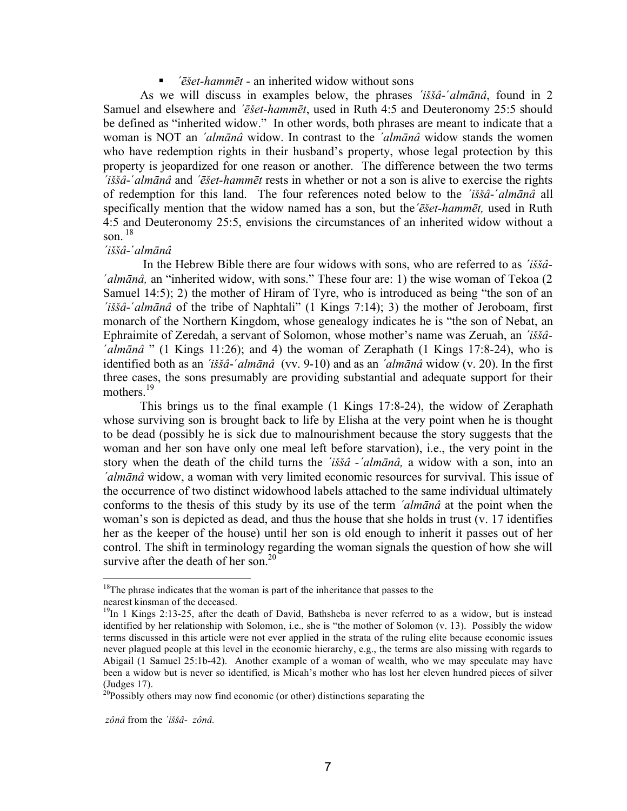*´ēšet-hammēt* - an inherited widow without sons

As we will discuss in examples below, the phrases *´iššâ*-´*almānâ*, found in 2 Samuel and elsewhere and *´ēšet-hammēt*, used in Ruth 4:5 and Deuteronomy 25:5 should be defined as "inherited widow." In other words, both phrases are meant to indicate that a woman is NOT an *´almānâ* widow. In contrast to the *´almānâ* widow stands the women who have redemption rights in their husband's property, whose legal protection by this property is jeopardized for one reason or another. The difference between the two terms *´iššâ*-´*almānâ* and *´ēšet-hammēt* rests in whether or not a son is alive to exercise the rights of redemption for this land. The four references noted below to the *´iššâ*-´*almānâ* all specifically mention that the widow named has a son, but the*´ēšet-hammēt,* used in Ruth 4:5 and Deuteronomy 25:5, envisions the circumstances of an inherited widow without a son $^{18}$ 

#### *´iššâ*-´*almānâ*

In the Hebrew Bible there are four widows with sons, who are referred to as *´iššâ*- ´*almānâ,* an "inherited widow, with sons." These four are: 1) the wise woman of Tekoa (2 Samuel 14:5); 2) the mother of Hiram of Tyre, who is introduced as being "the son of an *´iššâ*-´*almānâ* of the tribe of Naphtali" (1 Kings 7:14); 3) the mother of Jeroboam, first monarch of the Northern Kingdom, whose genealogy indicates he is "the son of Nebat, an Ephraimite of Zeredah, a servant of Solomon, whose mother's name was Zeruah, an *´iššâ*- ´*almānâ* " (1 Kings 11:26); and 4) the woman of Zeraphath (1 Kings 17:8-24), who is identified both as an *´iššâ*-´*almānâ* (vv. 9-10) and as an *´almānâ* widow (v. 20). In the first three cases, the sons presumably are providing substantial and adequate support for their mothers.<sup>19</sup>

This brings us to the final example (1 Kings 17:8-24), the widow of Zeraphath whose surviving son is brought back to life by Elisha at the very point when he is thought to be dead (possibly he is sick due to malnourishment because the story suggests that the woman and her son have only one meal left before starvation), i.e., the very point in the story when the death of the child turns the *´iššâ -´almānâ,* a widow with a son, into an *´almānâ* widow, a woman with very limited economic resources for survival. This issue of the occurrence of two distinct widowhood labels attached to the same individual ultimately conforms to the thesis of this study by its use of the term *´almānâ* at the point when the woman's son is depicted as dead, and thus the house that she holds in trust (v. 17 identifies her as the keeper of the house) until her son is old enough to inherit it passes out of her control. The shift in terminology regarding the woman signals the question of how she will survive after the death of her son.<sup>20</sup>

*zônâ* from the *´iššâ- zônâ.*

<sup>&</sup>lt;sup>18</sup>The phrase indicates that the woman is part of the inheritance that passes to the nearest kinsman of the deceased.

 $19$ In 1 Kings 2:13-25, after the death of David, Bathsheba is never referred to as a widow, but is instead identified by her relationship with Solomon, i.e., she is "the mother of Solomon (v. 13). Possibly the widow terms discussed in this article were not ever applied in the strata of the ruling elite because economic issues never plagued people at this level in the economic hierarchy, e.g., the terms are also missing with regards to Abigail (1 Samuel 25:1b-42). Another example of a woman of wealth, who we may speculate may have been a widow but is never so identified, is Micah's mother who has lost her eleven hundred pieces of silver  $($ Judges 17 $).$ 

 $^{20}$ Possibly others may now find economic (or other) distinctions separating the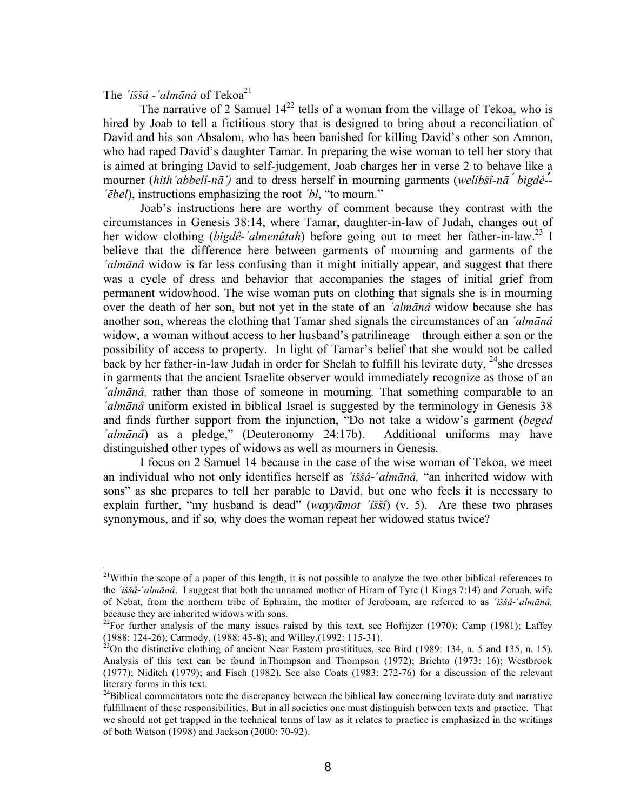The *'iššâ* - 'almānâ of Tekoa<sup>21</sup>

The narrative of 2 Samuel  $14^{22}$  tells of a woman from the village of Tekoa, who is hired by Joab to tell a fictitious story that is designed to bring about a reconciliation of David and his son Absalom, who has been banished for killing David's other son Amnon, who had raped David's daughter Tamar. In preparing the wise woman to tell her story that is aimed at bringing David to self-judgement, Joab charges her in verse 2 to behave like a mourner (*hith'abbelî-nā')* and to dress herself in mourning garments (*welibšî-nā ́ bigdê-́- ΄ēbel*), instructions emphasizing the root *´bl*, "to mourn."

Joab's instructions here are worthy of comment because they contrast with the circumstances in Genesis 38:14, where Tamar, daughter-in-law of Judah, changes out of her widow clothing (*bigdê-´almenûtah*) before going out to meet her father-in-law. <sup>23</sup> I believe that the difference here between garments of mourning and garments of the *´almānâ* widow is far less confusing than it might initially appear, and suggest that there was a cycle of dress and behavior that accompanies the stages of initial grief from permanent widowhood. The wise woman puts on clothing that signals she is in mourning over the death of her son, but not yet in the state of an *´almānâ* widow because she has another son, whereas the clothing that Tamar shed signals the circumstances of an *´almānâ* widow, a woman without access to her husband's patrilineage—through either a son or the possibility of access to property. In light of Tamar's belief that she would not be called back by her father-in-law Judah in order for Shelah to fulfill his levirate duty, <sup>24</sup>she dresses in garments that the ancient Israelite observer would immediately recognize as those of an *´almānâ,* rather than those of someone in mourning*.* That something comparable to an *´almānâ* uniform existed in biblical Israel is suggested by the terminology in Genesis 38 and finds further support from the injunction, "Do not take a widow's garment (*beged ´almānâ*) as a pledge," (Deuteronomy 24:17b). Additional uniforms may have distinguished other types of widows as well as mourners in Genesis.

I focus on 2 Samuel 14 because in the case of the wise woman of Tekoa, we meet an individual who not only identifies herself as *´iššâ*-´*almānâ,* "an inherited widow with sons" as she prepares to tell her parable to David, but one who feels it is necessary to explain further, "my husband is dead" (*wayyāmot ´îššî*) (v. 5). Are these two phrases synonymous, and if so, why does the woman repeat her widowed status twice?

<sup>&</sup>lt;sup>21</sup>Within the scope of a paper of this length, it is not possible to analyze the two other biblical references to the *´iššâ*-´*almānâ*. I suggest that both the unnamed mother of Hiram of Tyre (1 Kings 7:14) and Zeruah, wife of Nebat, from the northern tribe of Ephraim, the mother of Jeroboam, are referred to as *´iššâ*-´*almānâ,* because they are inherited widows with sons. <sup>22</sup>

<sup>&</sup>lt;sup>22</sup>For further analysis of the many issues raised by this text, see Hoftijzer (1970); Camp (1981); Laffey (1988: 124-26); Carmody, (1988: 45-8); and Willey, (1992: 115-31).

 $23$ On the distinctive clothing of ancient Near Eastern prostititues, see Bird (1989: 134, n. 5 and 135, n. 15). Analysis of this text can be found inThompson and Thompson (1972); Brichto (1973: 16); Westbrook (1977); Niditch (1979); and Fisch (1982). See also Coats (1983: 272-76) for a discussion of the relevant literary forms in this text.

 $^{24}$ Biblical commentators note the discrepancy between the biblical law concerning levirate duty and narrative fulfillment of these responsibilities. But in all societies one must distinguish between texts and practice. That we should not get trapped in the technical terms of law as it relates to practice is emphasized in the writings of both Watson (1998) and Jackson (2000: 70-92).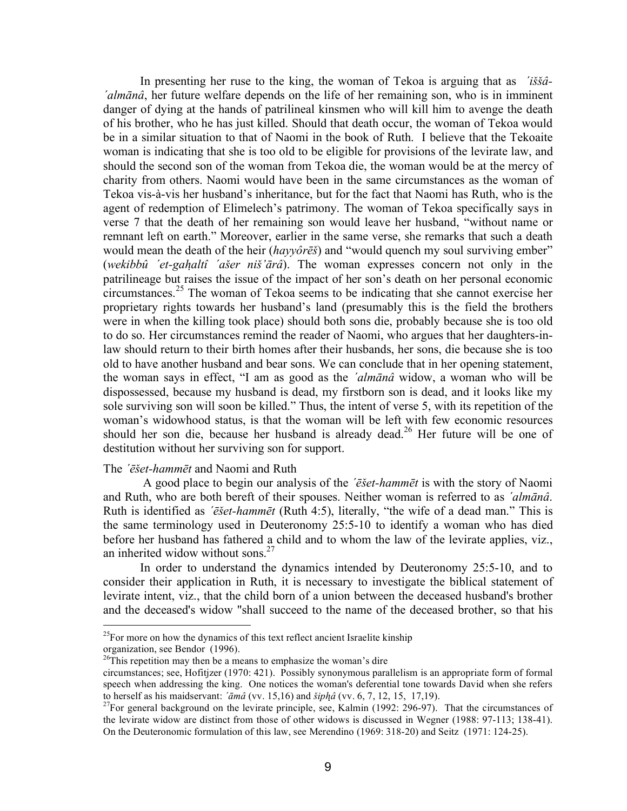In presenting her ruse to the king, the woman of Tekoa is arguing that as *´iššâ- ´almānâ*, her future welfare depends on the life of her remaining son, who is in imminent danger of dying at the hands of patrilineal kinsmen who will kill him to avenge the death of his brother, who he has just killed. Should that death occur, the woman of Tekoa would be in a similar situation to that of Naomi in the book of Ruth. I believe that the Tekoaite woman is indicating that she is too old to be eligible for provisions of the levirate law, and should the second son of the woman from Tekoa die, the woman would be at the mercy of charity from others. Naomi would have been in the same circumstances as the woman of Tekoa vis-à-vis her husband's inheritance, but for the fact that Naomi has Ruth, who is the agent of redemption of Elimelech's patrimony. The woman of Tekoa specifically says in verse 7 that the death of her remaining son would leave her husband, "without name or remnant left on earth." Moreover, earlier in the same verse, she remarks that such a death would mean the death of the heir (*hayyôrēš*) and "would quench my soul surviving ember" (*wekibbû ΄et-gahaltî ´ašer niš'ārâ*). The woman expresses concern not only in the patrilineage but raises the issue of the impact of her son's death on her personal economic circumstances. <sup>25</sup> The woman of Tekoa seems to be indicating that she cannot exercise her proprietary rights towards her husband's land (presumably this is the field the brothers were in when the killing took place) should both sons die, probably because she is too old to do so. Her circumstances remind the reader of Naomi, who argues that her daughters-inlaw should return to their birth homes after their husbands, her sons, die because she is too old to have another husband and bear sons. We can conclude that in her opening statement, the woman says in effect, "I am as good as the *´almānâ* widow, a woman who will be dispossessed, because my husband is dead, my firstborn son is dead, and it looks like my sole surviving son will soon be killed." Thus, the intent of verse 5, with its repetition of the woman's widowhood status, is that the woman will be left with few economic resources should her son die, because her husband is already dead.<sup>26</sup> Her future will be one of destitution without her surviving son for support.

### The *´ēšet-hammēt* and Naomi and Ruth

A good place to begin our analysis of the *´ēšet-hammēt* is with the story of Naomi and Ruth, who are both bereft of their spouses. Neither woman is referred to as *´almānâ*. Ruth is identified as *´ēšet-hammēt* (Ruth 4:5), literally, "the wife of a dead man." This is the same terminology used in Deuteronomy 25:5-10 to identify a woman who has died before her husband has fathered a child and to whom the law of the levirate applies, viz., an inherited widow without sons. $27$ 

In order to understand the dynamics intended by Deuteronomy 25:5-10, and to consider their application in Ruth, it is necessary to investigate the biblical statement of levirate intent, viz., that the child born of a union between the deceased husband's brother and the deceased's widow "shall succeed to the name of the deceased brother, so that his

<sup>&</sup>lt;sup>25</sup> For more on how the dynamics of this text reflect ancient Israelite kinship organization, see Bendor (1996).

 $^{26}$ This repetition may then be a means to emphasize the woman's dire

circumstances; see, Hofitjzer (1970: 421). Possibly synonymous parallelism is an appropriate form of formal speech when addressing the king. One notices the woman's deferential tone towards David when she refers to herself as his maidservant: *΄āmâ* (vv. 15,16) and *<sup>š</sup>iph<sup>â</sup>* (vv. 6, 7, 12, 15, 17,19). <sup>27</sup>

<sup>&</sup>lt;sup>27</sup>For general background on the levirate principle, see, Kalmin (1992: 296-97). That the circumstances of the levirate widow are distinct from those of other widows is discussed in Wegner (1988: 97-113; 138-41). On the Deuteronomic formulation of this law, see Merendino (1969: 318-20) and Seitz (1971: 124-25).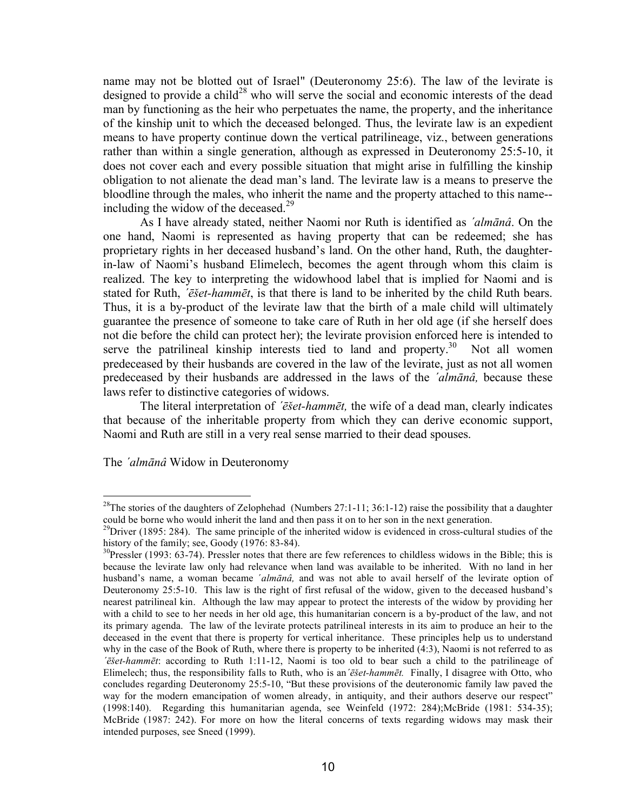name may not be blotted out of Israel" (Deuteronomy 25:6). The law of the levirate is designed to provide a child<sup>28</sup> who will serve the social and economic interests of the dead man by functioning as the heir who perpetuates the name, the property, and the inheritance of the kinship unit to which the deceased belonged. Thus, the levirate law is an expedient means to have property continue down the vertical patrilineage, viz., between generations rather than within a single generation, although as expressed in Deuteronomy 25:5-10, it does not cover each and every possible situation that might arise in fulfilling the kinship obligation to not alienate the dead man's land. The levirate law is a means to preserve the bloodline through the males, who inherit the name and the property attached to this name- including the widow of the deceased.<sup>29</sup>

As I have already stated, neither Naomi nor Ruth is identified as *´almānâ*. On the one hand, Naomi is represented as having property that can be redeemed; she has proprietary rights in her deceased husband's land. On the other hand, Ruth, the daughterin-law of Naomi's husband Elimelech, becomes the agent through whom this claim is realized. The key to interpreting the widowhood label that is implied for Naomi and is stated for Ruth, *´ēšet-hammēt*, is that there is land to be inherited by the child Ruth bears. Thus, it is a by-product of the levirate law that the birth of a male child will ultimately guarantee the presence of someone to take care of Ruth in her old age (if she herself does not die before the child can protect her); the levirate provision enforced here is intended to serve the patrilineal kinship interests tied to land and property.<sup>30</sup> Not all women predeceased by their husbands are covered in the law of the levirate, just as not all women predeceased by their husbands are addressed in the laws of the *´almānâ,* because these laws refer to distinctive categories of widows.

The literal interpretation of *´ēšet-hammēt,* the wife of a dead man, clearly indicates that because of the inheritable property from which they can derive economic support, Naomi and Ruth are still in a very real sense married to their dead spouses.

The *´almānâ* Widow in Deuteronomy

<sup>&</sup>lt;sup>28</sup>The stories of the daughters of Zelophehad (Numbers 27:1-11; 36:1-12) raise the possibility that a daughter could be borne who would inherit the land and then pass it on to her son in the next generation.

 $^{29}$ Driver (1895: 284). The same principle of the inherited widow is evidenced in cross-cultural studies of the history of the family; see, Goody  $(1976: 83-84)$ .

 $^{30}$ Pressler (1993: 63-74). Pressler notes that there are few references to childless widows in the Bible; this is because the levirate law only had relevance when land was available to be inherited. With no land in her husband's name, a woman became ´*almānâ,* and was not able to avail herself of the levirate option of Deuteronomy 25:5-10. This law is the right of first refusal of the widow, given to the deceased husband's nearest patrilineal kin. Although the law may appear to protect the interests of the widow by providing her with a child to see to her needs in her old age, this humanitarian concern is a by-product of the law, and not its primary agenda. The law of the levirate protects patrilineal interests in its aim to produce an heir to the deceased in the event that there is property for vertical inheritance. These principles help us to understand why in the case of the Book of Ruth, where there is property to be inherited (4:3), Naomi is not referred to as *´ēšet-hammēt*: according to Ruth 1:11-12, Naomi is too old to bear such a child to the patrilineage of Elimelech; thus, the responsibility falls to Ruth, who is an*´ēšet-hammēt.* Finally, I disagree with Otto, who concludes regarding Deuteronomy 25:5-10, "But these provisions of the deuteronomic family law paved the way for the modern emancipation of women already, in antiquity, and their authors deserve our respect" (1998:140). Regarding this humanitarian agenda, see Weinfeld (1972: 284);McBride (1981: 534-35); McBride (1987: 242). For more on how the literal concerns of texts regarding widows may mask their intended purposes, see Sneed (1999).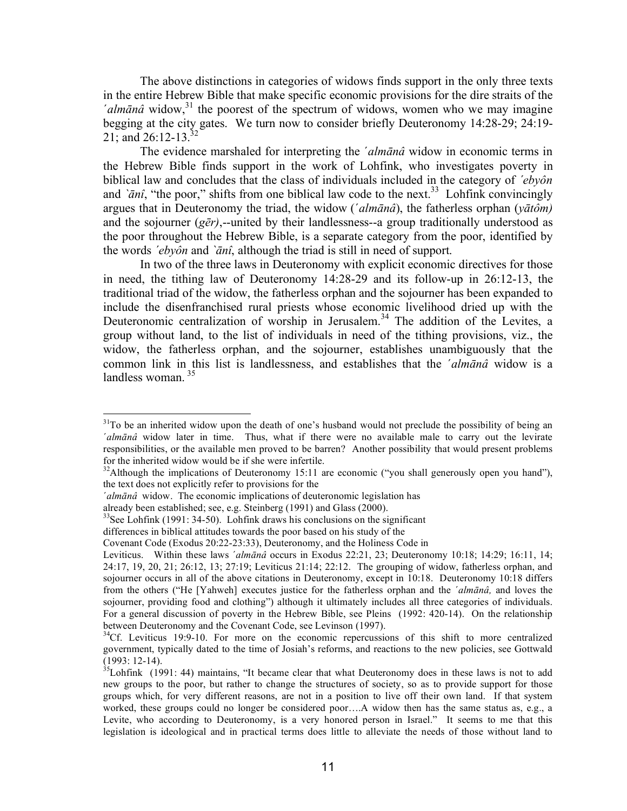The above distinctions in categories of widows finds support in the only three texts in the entire Hebrew Bible that make specific economic provisions for the dire straits of the  $'$ *almānâ* widow,<sup>31</sup> the poorest of the spectrum of widows, women who we may imagine begging at the city gates. We turn now to consider briefly Deuteronomy 14:28-29; 24:19- 21; and  $26:12 - 13^{32}$ 

The evidence marshaled for interpreting the ´*almānâ* widow in economic terms in the Hebrew Bible finds support in the work of Lohfink, who investigates poverty in biblical law and concludes that the class of individuals included in the category of *´ebyôn* and  $\partial \bar{a}n\hat{i}$ , "the poor," shifts from one biblical law code to the next.<sup>33</sup> Lohfink convincingly argues that in Deuteronomy the triad, the widow (´*almānâ*), the fatherless orphan (*yātôm)* and the sojourner (*gēr)*,--united by their landlessness--a group traditionally understood as the poor throughout the Hebrew Bible, is a separate category from the poor, identified by the words *´ebyôn* and *`ānî*, although the triad is still in need of support.

In two of the three laws in Deuteronomy with explicit economic directives for those in need, the tithing law of Deuteronomy 14:28-29 and its follow-up in 26:12-13, the traditional triad of the widow, the fatherless orphan and the sojourner has been expanded to include the disenfranchised rural priests whose economic livelihood dried up with the Deuteronomic centralization of worship in Jerusalem.<sup>34</sup> The addition of the Levites, a group without land, to the list of individuals in need of the tithing provisions, viz., the widow, the fatherless orphan, and the sojourner, establishes unambiguously that the common link in this list is landlessness, and establishes that the ´*almānâ* widow is a landless woman.<sup>35</sup>

<sup>&</sup>lt;sup>31</sup>To be an inherited widow upon the death of one's husband would not preclude the possibility of being an ´*almānâ* widow later in time. Thus, what if there were no available male to carry out the levirate responsibilities, or the available men proved to be barren? Another possibility that would present problems for the inherited widow would be if she were infertile.

<sup>&</sup>lt;sup>32</sup>Although the implications of Deuteronomy 15:11 are economic ("you shall generously open you hand"), the text does not explicitly refer to provisions for the

<sup>´</sup>*almānâ* widow. The economic implications of deuteronomic legislation has

already been established; see, e.g. Steinberg (1991) and Glass (2000).

 $33$ See Lohfink (1991: 34-50). Lohfink draws his conclusions on the significant

differences in biblical attitudes towards the poor based on his study of the

Covenant Code (Exodus 20:22-23:33), Deuteronomy, and the Holiness Code in

Leviticus. Within these laws ´*almānâ* occurs in Exodus 22:21, 23; Deuteronomy 10:18; 14:29; 16:11, 14; 24:17, 19, 20, 21; 26:12, 13; 27:19; Leviticus 21:14; 22:12. The grouping of widow, fatherless orphan, and sojourner occurs in all of the above citations in Deuteronomy, except in 10:18. Deuteronomy 10:18 differs from the others ("He [Yahweh] executes justice for the fatherless orphan and the ´*almānâ,* and loves the sojourner, providing food and clothing") although it ultimately includes all three categories of individuals. For a general discussion of poverty in the Hebrew Bible, see Pleins (1992: 420-14). On the relationship between Deuteronomy and the Covenant Code, see Levinson (1997).

<sup>&</sup>lt;sup>34</sup>Cf. Leviticus 19:9-10. For more on the economic repercussions of this shift to more centralized government, typically dated to the time of Josiah's reforms, and reactions to the new policies, see Gottwald  $(1993: 12-14).$ 

 $35$ Lohfink (1991: 44) maintains, "It became clear that what Deuteronomy does in these laws is not to add new groups to the poor, but rather to change the structures of society, so as to provide support for those groups which, for very different reasons, are not in a position to live off their own land. If that system worked, these groups could no longer be considered poor….A widow then has the same status as, e.g., a Levite, who according to Deuteronomy, is a very honored person in Israel." It seems to me that this legislation is ideological and in practical terms does little to alleviate the needs of those without land to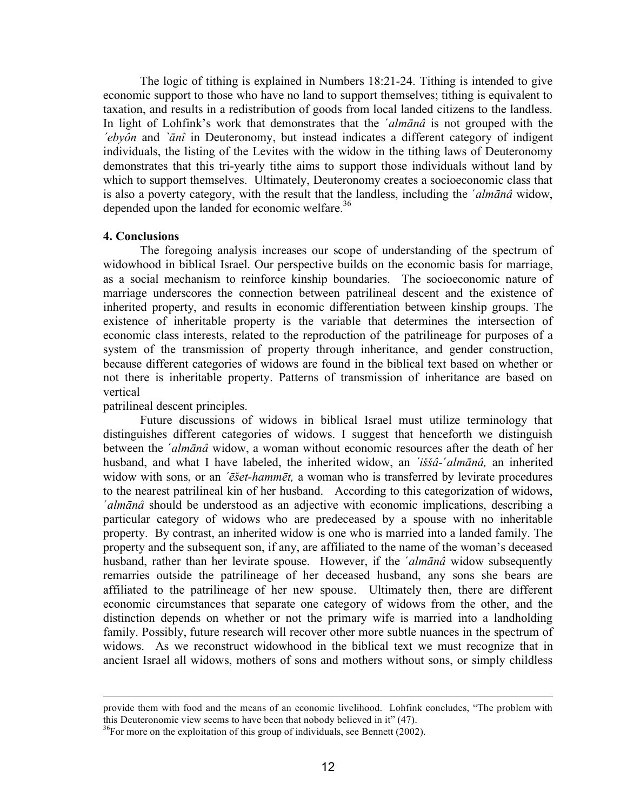The logic of tithing is explained in Numbers 18:21-24. Tithing is intended to give economic support to those who have no land to support themselves; tithing is equivalent to taxation, and results in a redistribution of goods from local landed citizens to the landless. In light of Lohfink's work that demonstrates that the ´*almānâ* is not grouped with the *´ebyôn* and *`ānî* in Deuteronomy, but instead indicates a different category of indigent individuals, the listing of the Levites with the widow in the tithing laws of Deuteronomy demonstrates that this tri-yearly tithe aims to support those individuals without land by which to support themselves. Ultimately, Deuteronomy creates a socioeconomic class that is also a poverty category, with the result that the landless, including the ´*almānâ* widow, depended upon the landed for economic welfare. 36

# **4. Conclusions**

l

The foregoing analysis increases our scope of understanding of the spectrum of widowhood in biblical Israel. Our perspective builds on the economic basis for marriage, as a social mechanism to reinforce kinship boundaries. The socioeconomic nature of marriage underscores the connection between patrilineal descent and the existence of inherited property, and results in economic differentiation between kinship groups. The existence of inheritable property is the variable that determines the intersection of economic class interests, related to the reproduction of the patrilineage for purposes of a system of the transmission of property through inheritance, and gender construction, because different categories of widows are found in the biblical text based on whether or not there is inheritable property. Patterns of transmission of inheritance are based on vertical

patrilineal descent principles.

Future discussions of widows in biblical Israel must utilize terminology that distinguishes different categories of widows. I suggest that henceforth we distinguish between the ´*almānâ* widow, a woman without economic resources after the death of her husband, and what I have labeled, the inherited widow, an *´iššâ*-´*almānâ,* an inherited widow with sons, or an *´ēšet-hammēt,* a woman who is transferred by levirate procedures to the nearest patrilineal kin of her husband. According to this categorization of widows, ´*almānâ* should be understood as an adjective with economic implications, describing a particular category of widows who are predeceased by a spouse with no inheritable property. By contrast, an inherited widow is one who is married into a landed family. The property and the subsequent son, if any, are affiliated to the name of the woman's deceased husband, rather than her levirate spouse. However, if the ´*almānâ* widow subsequently remarries outside the patrilineage of her deceased husband, any sons she bears are affiliated to the patrilineage of her new spouse. Ultimately then, there are different economic circumstances that separate one category of widows from the other, and the distinction depends on whether or not the primary wife is married into a landholding family. Possibly, future research will recover other more subtle nuances in the spectrum of widows. As we reconstruct widowhood in the biblical text we must recognize that in ancient Israel all widows, mothers of sons and mothers without sons, or simply childless

provide them with food and the means of an economic livelihood. Lohfink concludes, "The problem with this Deuteronomic view seems to have been that nobody believed in it" (47).

 $^{36}$ For more on the exploitation of this group of individuals, see Bennett (2002).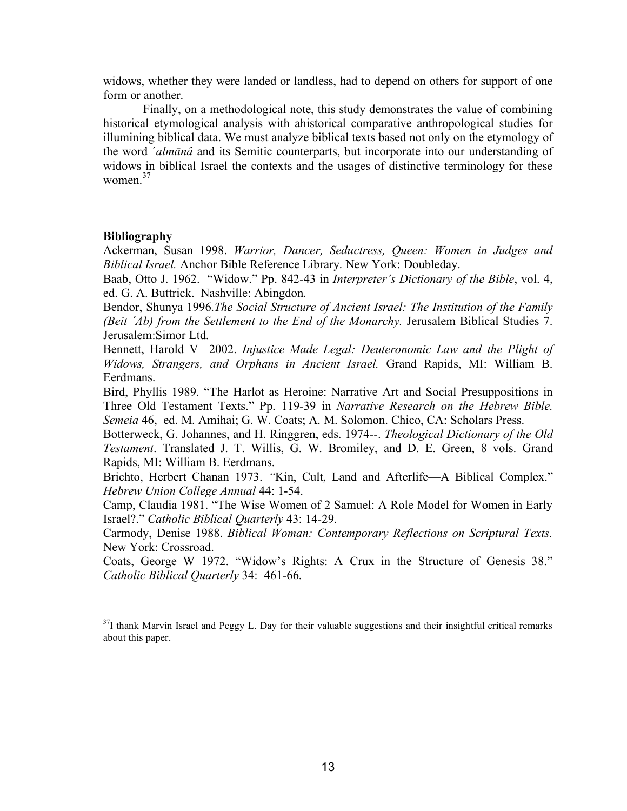widows, whether they were landed or landless, had to depend on others for support of one form or another.

Finally, on a methodological note, this study demonstrates the value of combining historical etymological analysis with ahistorical comparative anthropological studies for illumining biblical data. We must analyze biblical texts based not only on the etymology of the word ´*almānâ* and its Semitic counterparts, but incorporate into our understanding of widows in biblical Israel the contexts and the usages of distinctive terminology for these women. $37$ 

# **Bibliography**

Ackerman, Susan 1998. *Warrior, Dancer, Seductress, Queen: Women in Judges and Biblical Israel.* Anchor Bible Reference Library. New York: Doubleday.

Baab, Otto J. 1962. "Widow." Pp. 842-43 in *Interpreter's Dictionary of the Bible*, vol. 4, ed. G. A. Buttrick. Nashville: Abingdon.

Bendor, Shunya 1996.*The Social Structure of Ancient Israel: The Institution of the Family (Beit ´Ab) from the Settlement to the End of the Monarchy.* Jerusalem Biblical Studies 7. Jerusalem:Simor Ltd.

Bennett, Harold V 2002. *Injustice Made Legal: Deuteronomic Law and the Plight of Widows, Strangers, and Orphans in Ancient Israel.* Grand Rapids, MI: William B. Eerdmans.

Bird, Phyllis 1989. "The Harlot as Heroine: Narrative Art and Social Presuppositions in Three Old Testament Texts." Pp. 119-39 in *Narrative Research on the Hebrew Bible. Semeia* 46, ed. M. Amihai; G. W. Coats; A. M. Solomon. Chico, CA: Scholars Press.

Botterweck, G. Johannes, and H. Ringgren, eds. 1974--. *Theological Dictionary of the Old Testament*. Translated J. T. Willis, G. W. Bromiley, and D. E. Green, 8 vols. Grand Rapids, MI: William B. Eerdmans.

Brichto, Herbert Chanan 1973. *"*Kin, Cult, Land and Afterlife—A Biblical Complex." *Hebrew Union College Annual* 44: 1-54.

Camp, Claudia 1981. "The Wise Women of 2 Samuel: A Role Model for Women in Early Israel?." *Catholic Biblical Quarterly* 43: 14-29.

Carmody, Denise 1988. *Biblical Woman: Contemporary Reflections on Scriptural Texts.* New York: Crossroad.

Coats, George W 1972. "Widow's Rights: A Crux in the Structure of Genesis 38." *Catholic Biblical Quarterly* 34: 461-66.

<sup>&</sup>lt;sup>37</sup>I thank Marvin Israel and Peggy L. Day for their valuable suggestions and their insightful critical remarks about this paper.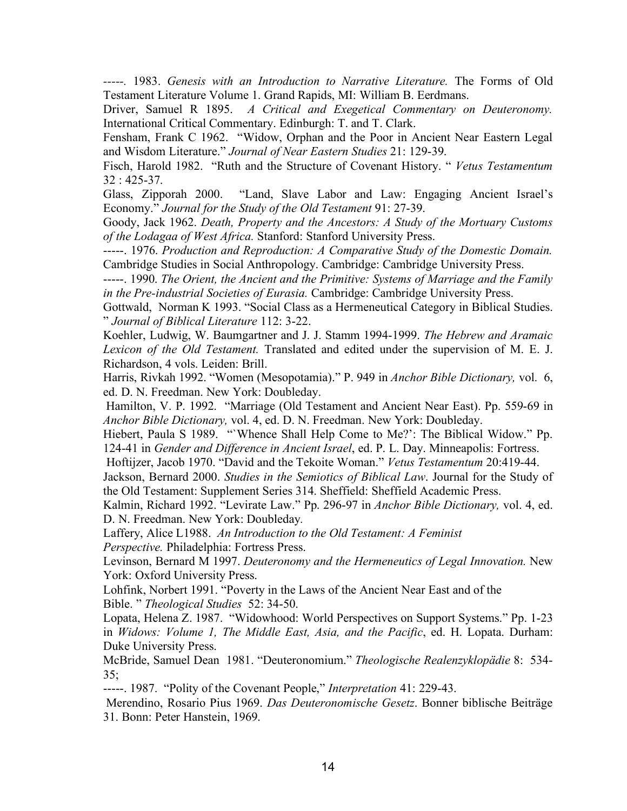*-----.* 1983. *Genesis with an Introduction to Narrative Literature.* The Forms of Old Testament Literature Volume 1. Grand Rapids, MI: William B. Eerdmans.

Driver, Samuel R 1895. *A Critical and Exegetical Commentary on Deuteronomy.* International Critical Commentary. Edinburgh: T. and T. Clark.

Fensham, Frank C 1962. "Widow, Orphan and the Poor in Ancient Near Eastern Legal and Wisdom Literature." *Journal of Near Eastern Studies* 21: 129-39.

Fisch, Harold 1982. "Ruth and the Structure of Covenant History. " *Vetus Testamentum* 32 : 425-37.

Glass, Zipporah 2000. "Land, Slave Labor and Law: Engaging Ancient Israel's Economy." *Journal for the Study of the Old Testament* 91: 27-39.

Goody, Jack 1962. *Death, Property and the Ancestors: A Study of the Mortuary Customs of the Lodagaa of West Africa.* Stanford: Stanford University Press.

-----. 1976. *Production and Reproduction: A Comparative Study of the Domestic Domain.* Cambridge Studies in Social Anthropology. Cambridge: Cambridge University Press.

-----. 1990. *The Orient, the Ancient and the Primitive: Systems of Marriage and the Family in the Pre-industrial Societies of Eurasia.* Cambridge: Cambridge University Press.

Gottwald, Norman K 1993. "Social Class as a Hermeneutical Category in Biblical Studies. " *Journal of Biblical Literature* 112: 3-22.

Koehler, Ludwig, W. Baumgartner and J. J. Stamm 1994-1999. *The Hebrew and Aramaic Lexicon of the Old Testament.* Translated and edited under the supervision of M. E. J. Richardson, 4 vols. Leiden: Brill.

Harris, Rivkah 1992. "Women (Mesopotamia)." P. 949 in *Anchor Bible Dictionary,* vol. 6, ed. D. N. Freedman. New York: Doubleday.

Hamilton, V. P. 1992. "Marriage (Old Testament and Ancient Near East). Pp. 559-69 in *Anchor Bible Dictionary,* vol. 4, ed. D. N. Freedman. New York: Doubleday.

Hiebert, Paula S 1989. "Whence Shall Help Come to Me?': The Biblical Widow." Pp. 124-41 in *Gender and Difference in Ancient Israel*, ed. P. L. Day. Minneapolis: Fortress.

Hoftijzer, Jacob 1970. "David and the Tekoite Woman." *Vetus Testamentum* 20:419-44.

Jackson, Bernard 2000. *Studies in the Semiotics of Biblical Law*. Journal for the Study of the Old Testament: Supplement Series 314. Sheffield: Sheffield Academic Press.

Kalmin, Richard 1992. "Levirate Law." Pp. 296-97 in *Anchor Bible Dictionary,* vol. 4, ed. D. N. Freedman. New York: Doubleday*.*

Laffery, Alice L1988. *An Introduction to the Old Testament: A Feminist Perspective.* Philadelphia: Fortress Press.

Levinson, Bernard M 1997. *Deuteronomy and the Hermeneutics of Legal Innovation.* New York: Oxford University Press.

Lohfink, Norbert 1991. "Poverty in the Laws of the Ancient Near East and of the Bible. " *Theological Studies* 52: 34-50.

Lopata, Helena Z. 1987. "Widowhood: World Perspectives on Support Systems." Pp. 1-23 in *Widows: Volume 1, The Middle East, Asia, and the Pacific*, ed. H. Lopata. Durham: Duke University Press.

McBride, Samuel Dean 1981. "Deuteronomium." *Theologische Realenzyklopädie* 8: 534- 35;

-----. 1987. "Polity of the Covenant People," *Interpretation* 41: 229-43.

Merendino, Rosario Pius 1969. *Das Deuteronomische Gesetz*. Bonner biblische Beiträge 31. Bonn: Peter Hanstein, 1969.